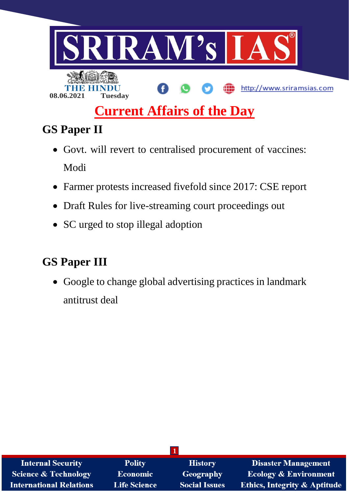

# **Current Affairs of the Day**

## **GS Paper II**

- Govt. will revert to centralised procurement of vaccines: Modi
- Farmer protests increased fivefold since 2017: CSE report
- Draft Rules for live-streaming court proceedings out
- SC urged to stop illegal adoption

## **GS Paper III**

 Google to change global advertising practices in landmark antitrust deal

| <b>Internal Security</b>        | <b>Polity</b>       | <b>History</b>       | <b>Disaster Management</b>              |  |  |  |
|---------------------------------|---------------------|----------------------|-----------------------------------------|--|--|--|
| <b>Science &amp; Technology</b> | Economic            | Geography            | <b>Ecology &amp; Environment</b>        |  |  |  |
| <b>International Relations</b>  | <b>Life Science</b> | <b>Social Issues</b> | <b>Ethics, Integrity &amp; Aptitude</b> |  |  |  |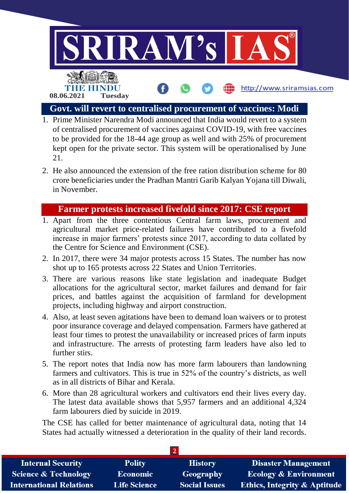

#### **Govt. will revert to centralised procurement of vaccines: Modi**

- 1. Prime Minister Narendra Modi announced that India would revert to a system of centralised procurement of vaccines against COVID-19, with free vaccines to be provided for the 18-44 age group as well and with 25% of procurement kept open for the private sector. This system will be operationalised by June 21.
- 2. He also announced the extension of the free ration distribution scheme for 80 crore beneficiaries under the Pradhan Mantri Garib Kalyan Yojana till Diwali, in November.

#### **Farmer protests increased fivefold since 2017: CSE report**

- 1. Apart from the three contentious Central farm laws, procurement and agricultural market price-related failures have contributed to a fivefold increase in major farmers' protests since 2017, according to data collated by the Centre for Science and Environment (CSE).
- 2. In 2017, there were 34 major protests across 15 States. The number has now shot up to 165 protests across 22 States and Union Territories.
- 3. There are various reasons like state legislation and inadequate Budget allocations for the agricultural sector, market failures and demand for fair prices, and battles against the acquisition of farmland for development projects, including highway and airport construction.
- 4. Also, at least seven agitations have been to demand loan waivers or to protest poor insurance coverage and delayed compensation. Farmers have gathered at least four times to protest the unavailability or increased prices of farm inputs and infrastructure. The arrests of protesting farm leaders have also led to further stirs.
- 5. The report notes that India now has more farm labourers than landowning farmers and cultivators. This is true in 52% of the country's districts, as well as in all districts of Bihar and Kerala.
- 6. More than 28 agricultural workers and cultivators end their lives every day. The latest data available shows that 5,957 farmers and an additional 4,324 farm labourers died by suicide in 2019.

The CSE has called for better maintenance of agricultural data, noting that 14 States had actually witnessed a deterioration in the quality of their land records.

| <b>Internal Security</b>        | <b>Polity</b>       | <b>History</b>       | <b>Disaster Management</b>              |  |  |  |
|---------------------------------|---------------------|----------------------|-----------------------------------------|--|--|--|
| <b>Science &amp; Technology</b> | <b>Economic</b>     | Geography            | <b>Ecology &amp; Environment</b>        |  |  |  |
| <b>International Relations</b>  | <b>Life Science</b> | <b>Social Issues</b> | <b>Ethics, Integrity &amp; Aptitude</b> |  |  |  |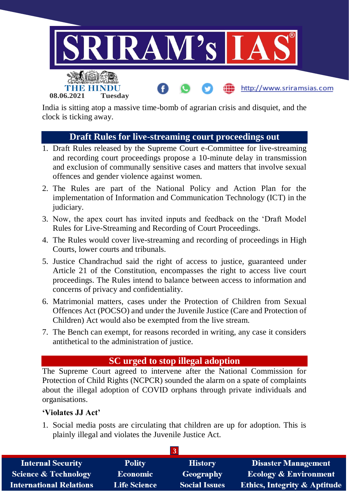

India is sitting atop a massive time-bomb of agrarian crisis and disquiet, and the clock is ticking away.

#### **Draft Rules for live-streaming court proceedings out**

- 1. Draft Rules released by the Supreme Court e-Committee for live-streaming and recording court proceedings propose a 10-minute delay in transmission and exclusion of communally sensitive cases and matters that involve sexual offences and gender violence against women.
- 2. The Rules are part of the National Policy and Action Plan for the implementation of Information and Communication Technology (ICT) in the judiciary.
- 3. Now, the apex court has invited inputs and feedback on the 'Draft Model Rules for Live-Streaming and Recording of Court Proceedings.
- 4. The Rules would cover live-streaming and recording of proceedings in High Courts, lower courts and tribunals.
- 5. Justice Chandrachud said the right of access to justice, guaranteed under Article 21 of the Constitution, encompasses the right to access live court proceedings. The Rules intend to balance between access to information and concerns of privacy and confidentiality.
- 6. Matrimonial matters, cases under the Protection of Children from Sexual Offences Act (POCSO) and under the Juvenile Justice (Care and Protection of Children) Act would also be exempted from the live stream.
- 7. The Bench can exempt, for reasons recorded in writing, any case it considers antithetical to the administration of justice.

#### **SC urged to stop illegal adoption**

The Supreme Court agreed to intervene after the National Commission for Protection of Child Rights (NCPCR) sounded the alarm on a spate of complaints about the illegal adoption of COVID orphans through private individuals and organisations.

#### **'Violates JJ Act'**

1. Social media posts are circulating that children are up for adoption. This is plainly illegal and violates the Juvenile Justice Act.

| <b>Internal Security</b>        | <b>Polity</b>       | <b>History</b>       | <b>Disaster Management</b>              |  |  |  |
|---------------------------------|---------------------|----------------------|-----------------------------------------|--|--|--|
| <b>Science &amp; Technology</b> | <b>Economic</b>     | Geography            | <b>Ecology &amp; Environment</b>        |  |  |  |
| <b>International Relations</b>  | <b>Life Science</b> | <b>Social Issues</b> | <b>Ethics, Integrity &amp; Aptitude</b> |  |  |  |